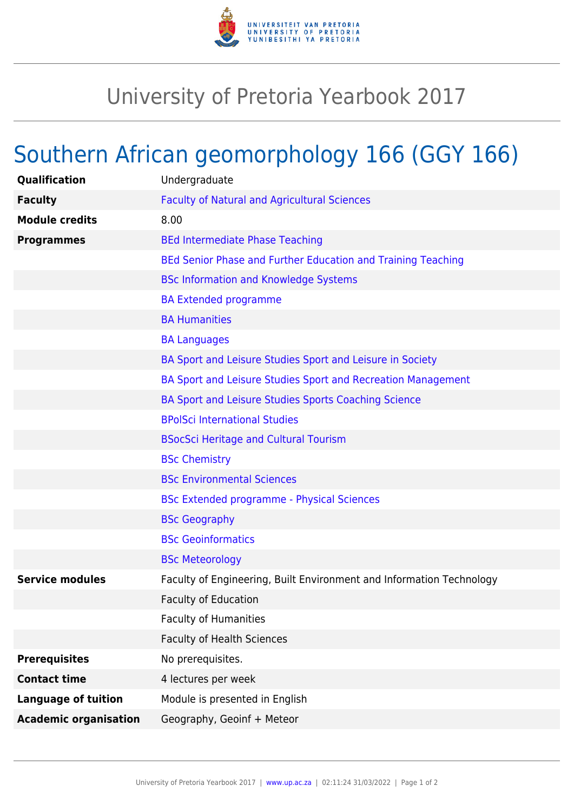

## University of Pretoria Yearbook 2017

## Southern African geomorphology 166 (GGY 166)

| Qualification                | Undergraduate                                                        |
|------------------------------|----------------------------------------------------------------------|
| <b>Faculty</b>               | <b>Faculty of Natural and Agricultural Sciences</b>                  |
| <b>Module credits</b>        | 8.00                                                                 |
| <b>Programmes</b>            | <b>BEd Intermediate Phase Teaching</b>                               |
|                              | BEd Senior Phase and Further Education and Training Teaching         |
|                              | <b>BSc Information and Knowledge Systems</b>                         |
|                              | <b>BA Extended programme</b>                                         |
|                              | <b>BA Humanities</b>                                                 |
|                              | <b>BA Languages</b>                                                  |
|                              | BA Sport and Leisure Studies Sport and Leisure in Society            |
|                              | BA Sport and Leisure Studies Sport and Recreation Management         |
|                              | BA Sport and Leisure Studies Sports Coaching Science                 |
|                              | <b>BPolSci International Studies</b>                                 |
|                              | <b>BSocSci Heritage and Cultural Tourism</b>                         |
|                              | <b>BSc Chemistry</b>                                                 |
|                              | <b>BSc Environmental Sciences</b>                                    |
|                              | <b>BSc Extended programme - Physical Sciences</b>                    |
|                              | <b>BSc Geography</b>                                                 |
|                              | <b>BSc Geoinformatics</b>                                            |
|                              | <b>BSc Meteorology</b>                                               |
| <b>Service modules</b>       | Faculty of Engineering, Built Environment and Information Technology |
|                              | <b>Faculty of Education</b>                                          |
|                              | <b>Faculty of Humanities</b>                                         |
|                              | <b>Faculty of Health Sciences</b>                                    |
| <b>Prerequisites</b>         | No prerequisites.                                                    |
| <b>Contact time</b>          | 4 lectures per week                                                  |
| <b>Language of tuition</b>   | Module is presented in English                                       |
| <b>Academic organisation</b> | Geography, Geoinf + Meteor                                           |